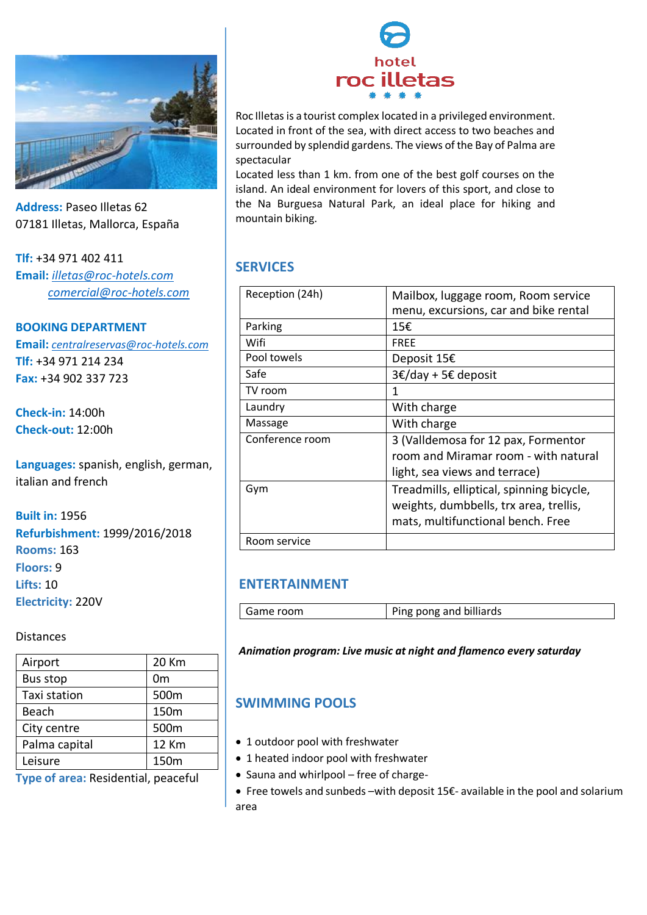

**Address:** Paseo Illetas 62 07181 Illetas, Mallorca, España

**Tlf:** +34 971 402 411 **Email:** *illetas@roc-hotels.com comercial@roc-hotels.com*

**BOOKING DEPARTMENT Email:** *centralreservas@roc-hotels.com* **Tlf:** +34 971 214 234 **Fax:** +34 902 337 723

**Check-in:** 14:00h **Check-out:** 12:00h

**Languages:** spanish, english, german, italian and french

**Built in:** 1956 **Refurbishment:** 1999/2016/2018 **Rooms:** 163 **Floors:** 9 **Lifts:** 10 **Electricity:** 220V

Distances

| Airport         | 20 Km        |
|-----------------|--------------|
| <b>Bus stop</b> | 0m           |
| Taxi station    | 500m         |
| Beach           | 150m         |
| City centre     | 500m         |
| Palma capital   | <b>12 Km</b> |
| Leisure         | 150m         |

**Type of area:** Residential, peaceful



Roc Illetas is a tourist complex located in a privileged environment. Located in front of the sea, with direct access to two beaches and surrounded by splendid gardens. The views of the Bay of Palma are spectacular

Located less than 1 km. from one of the best golf courses on the island. An ideal environment for lovers of this sport, and close to the Na Burguesa Natural Park, an ideal place for hiking and mountain biking.

# **SERVICES**

| Reception (24h) | Mailbox, luggage room, Room service       |
|-----------------|-------------------------------------------|
|                 | menu, excursions, car and bike rental     |
|                 |                                           |
| Parking         | 15€                                       |
| Wifi            | <b>FREE</b>                               |
| Pool towels     | Deposit 15€                               |
| Safe            | $3€/day + 5€$ deposit                     |
| TV room         | 1                                         |
| Laundry         | With charge                               |
| Massage         | With charge                               |
| Conference room | 3 (Valldemosa for 12 pax, Formentor       |
|                 | room and Miramar room - with natural      |
|                 | light, sea views and terrace)             |
| Gym             | Treadmills, elliptical, spinning bicycle, |
|                 | weights, dumbbells, trx area, trellis,    |
|                 |                                           |
|                 | mats, multifunctional bench. Free         |
| Room service    |                                           |

# **ENTERTAINMENT**

| Game room | Ping pong and billiards |
|-----------|-------------------------|
|           |                         |

*Animation program: Live music at night and flamenco every saturday*

# **SWIMMING POOLS**

- 1 outdoor pool with freshwater
- 1 heated indoor pool with freshwater
- Sauna and whirlpool free of charge-
- Free towels and sunbeds –with deposit 15€- available in the pool and solarium area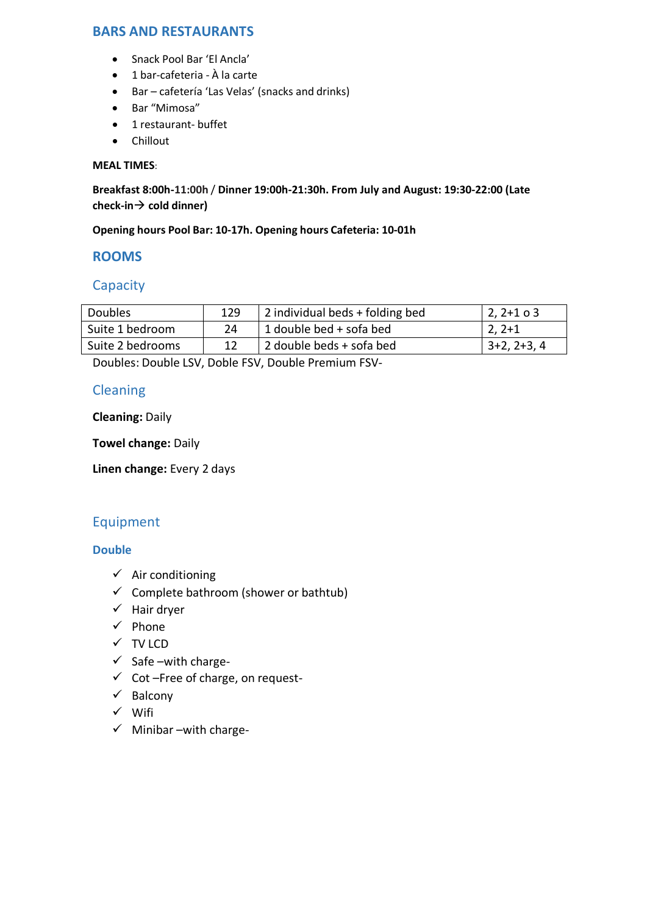# **BARS AND RESTAURANTS**

- Snack Pool Bar 'El Ancla'
- 1 bar-cafeteria À la carte
- Bar cafetería 'Las Velas' (snacks and drinks)
- Bar "Mimosa"
- 1 restaurant- buffet
- Chillout

#### **MEAL TIMES**:

**Breakfast 8:00h-10:30h** / **Dinner 19:00h-21:30h. From July and August: 19:30-22:00 (Late 11:00hcheck-in cold dinner)**

#### **Opening hours Pool Bar: 10-17h. Opening hours Cafeteria: 10-01h**

### **ROOMS**

## **Capacity**

| <b>Doubles</b>   | 129 | 2 individual beds + folding bed      | $ 2, 2+1$ o 3 |
|------------------|-----|--------------------------------------|---------------|
| Suite 1 bedroom  | 24  | <sup>1</sup> 1 double bed + sofa bed | 2, 2+1        |
| Suite 2 bedrooms |     | 2 double beds + sofa bed             | $3+2, 2+3, 4$ |

Doubles: Double LSV, Doble FSV, Double Premium FSV-

# Cleaning

**Cleaning:** Daily

**Towel change:** Daily

**Linen change:** Every 2 days

### Equipment

#### **Double**

- $\checkmark$  Air conditioning
- $\checkmark$  Complete bathroom (shower or bathtub)
- $\checkmark$  Hair dryer
- $\checkmark$  Phone
- $\checkmark$  TV LCD
- $\checkmark$  Safe –with charge-
- $\checkmark$  Cot –Free of charge, on request-
- $\checkmark$  Balcony
- Wifi
- $\checkmark$  Minibar –with charge-